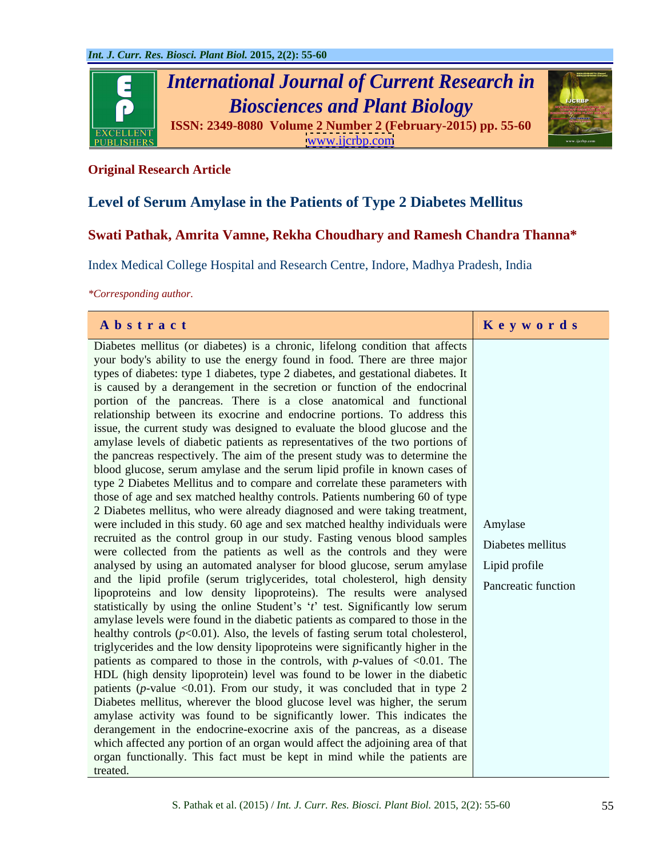

### **Original Research Article**

# **Level of Serum Amylase in the Patients of Type 2 Diabetes Mellitus**

## **Swati Pathak, Amrita Vamne, Rekha Choudhary and Ramesh Chandra Thanna\***

Index Medical College Hospital and Research Centre, Indore, Madhya Pradesh, India

*\*Corresponding author.*

| Abstract                                                                                 | Keywords            |
|------------------------------------------------------------------------------------------|---------------------|
| Diabetes mellitus (or diabetes) is a chronic, lifelong condition that affects            |                     |
| your body's ability to use the energy found in food. There are three major               |                     |
| types of diabetes: type 1 diabetes, type 2 diabetes, and gestational diabetes. It        |                     |
| is caused by a derangement in the secretion or function of the endocrinal                |                     |
| portion of the pancreas. There is a close anatomical and functional                      |                     |
| relationship between its exocrine and endocrine portions. To address this                |                     |
| issue, the current study was designed to evaluate the blood glucose and the              |                     |
| amylase levels of diabetic patients as representatives of the two portions of            |                     |
| the pancreas respectively. The aim of the present study was to determine the             |                     |
| blood glucose, serum amylase and the serum lipid profile in known cases of               |                     |
| type 2 Diabetes Mellitus and to compare and correlate these parameters with              |                     |
| those of age and sex matched healthy controls. Patients numbering 60 of type             |                     |
| 2 Diabetes mellitus, who were already diagnosed and were taking treatment,               |                     |
| were included in this study. 60 age and sex matched healthy individuals were Amylase     |                     |
| recruited as the control group in our study. Fasting venous blood samples                | Diabetes mellitus   |
| were collected from the patients as well as the controls and they were                   |                     |
| analysed by using an automated analyser for blood glucose, serum amylase   Lipid profile |                     |
| and the lipid profile (serum triglycerides, total cholesterol, high density              | Pancreatic function |
| lipoproteins and low density lipoproteins). The results were analysed                    |                     |
| statistically by using the online Student's 't' test. Significantly low serum            |                     |
| amylase levels were found in the diabetic patients as compared to those in the           |                     |
| healthy controls $(p<0.01)$ . Also, the levels of fasting serum total cholesterol,       |                     |
| triglycerides and the low density lipoproteins were significantly higher in the          |                     |
| patients as compared to those in the controls, with $p$ -values of <0.01. The            |                     |
| HDL (high density lipoprotein) level was found to be lower in the diabetic               |                     |
| patients (p-value < 0.01). From our study, it was concluded that in type 2               |                     |
| Diabetes mellitus, wherever the blood glucose level was higher, the serum                |                     |
| amylase activity was found to be significantly lower. This indicates the                 |                     |
| derangement in the endocrine-exocrine axis of the pancreas, as a disease                 |                     |
| which affected any portion of an organ would affect the adjoining area of that           |                     |
| organ functionally. This fact must be kept in mind while the patients are                |                     |
| treated.                                                                                 |                     |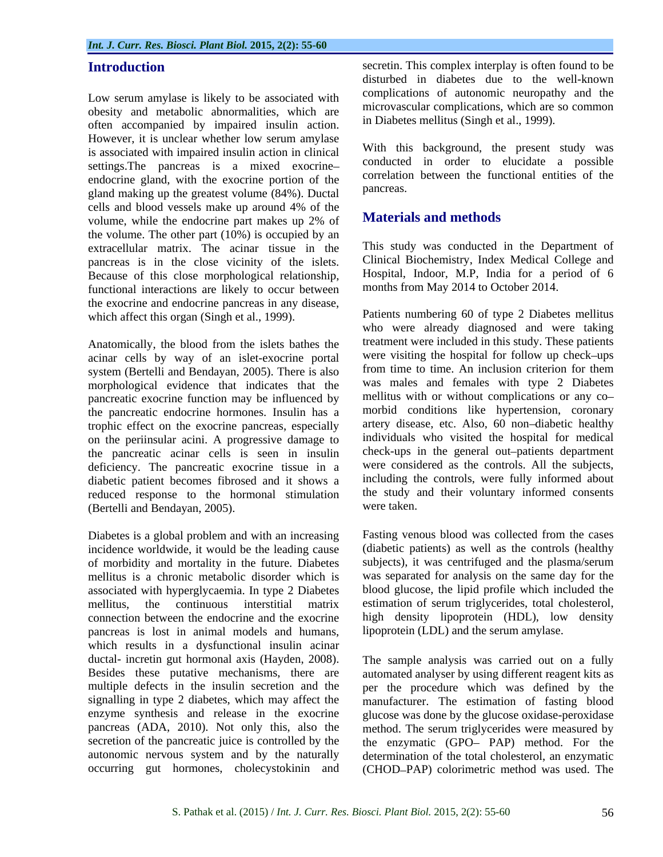Low serum amylase is likely to be associated with obesity and metabolic abnormalities, which are often accompanied by impaired insulin action. However, it is unclear whether low serum amylase is associated with impaired insulin action in clinical settings.The pancreas is a mixed exocrine endocrine gland, with the exocrine portion of the correlation of the correlation of the correlation of the correlation of  $\frac{1}{2}$  correlation on the exocation of the correlation of the correlation of the correlation of gland making up the greatest volume (84%). Ductal cells and blood vessels make up around 4% of the volume, while the endocrine part makes up 2% of the volume. The other part (10%) is occupied by an extracellular matrix. The acinar tissue in the pancreas is in the close vicinity of the islets. Because of this close morphological relationship, functional interactions are likely to occur between the exocrine and endocrine pancreas in any disease,

Anatomically, the blood from the islets bathes the acinar cells by way of an islet-exocrine portal system (Bertelli and Bendayan, 2005). There is also morphological evidence that indicates that the pancreatic exocrine function may be influenced by the pancreatic endocrine hormones. Insulin has a trophic effect on the exocrine pancreas, especially on the periinsular acini. A progressive damage to the pancreatic acinar cells is seen in insulin deficiency. The pancreatic exocrine tissue in a diabetic patient becomes fibrosed and it shows a reduced response to the hormonal stimulation the study a<br>(Bertelli and Bendavan 2005) were taken. (Bertelli and Bendayan, 2005).

Diabetes is a global problem and with an increasing incidence worldwide, it would be the leading cause of morbidity and mortality in the future. Diabetes mellitus is a chronic metabolic disorder which is associated with hyperglycaemia. In type 2 Diabetes blood glucose, the lipid profile which included the mellitus, the continuous interstitial matrix estimation of serum triglycerides, total cholesterol, connection between the endocrine and the exocrine high density lipoprotein (HDL), low density pancreas is lost in animal models and humans, which results in a dysfunctional insulin acinar ductal- incretin gut hormonal axis (Hayden,2008). The sample analysis was carried out on a fully Besides these putative mechanisms, there are automated analyser by using different reagent kits as multiple defects in the insulin secretion and the per the procedure which was defined by the signalling in type 2 diabetes, which may affect the manufacturer. The estimation of fasting blood enzyme synthesis and release in the exocrine glucose was done by the glucose oxidase-peroxidase pancreas (ADA, 2010). Not only this, also the method. The serum triglycerides were measured by secretion of the pancreatic juice is controlled by the the enzymatic (GPO-PAP) method. For the autonomic nervous system and by the naturally determination of the total cholesterol, an enzymatic

**Introduction** secretin. This complex interplay is often found to be disturbed in diabetes due to the well-known complications of autonomic neuropathy and the microvascular complications, which are so common in Diabetes mellitus (Singh et al., 1999).

> With this background, the present study was conducted in order to elucidate a possible correlation between the functional entities of the pancreas.

### **Materials and methods**

This study was conducted in the Department of Clinical Biochemistry, Index Medical College and Hospital, Indoor, M.P, India for a period of 6 months from May 2014 to October 2014.

which affect this organ (Singh et al., 1999). Patients numbering 60 of type 2 Diabetes mellitus who were already diagnosed and were taking treatment were included in this study. These patients were visiting the hospital for follow up check-ups from time to time. An inclusion criterion for them was males and females with type 2 Diabetes mellitus with or without complications or any co morbid conditions like hypertension, coronary artery disease, etc. Also, 60 non-diabetic healthy individuals who visited the hospital for medical check-ups in the general out-patients department were considered as the controls. All the subjects, including the controls, were fully informed about the study and their voluntary informed consents were taken.

> Fasting venous blood was collected from the cases (diabetic patients) as well as the controls (healthy subjects), it was centrifuged and the plasma/serum was separated for analysis on the same day for the lipoprotein (LDL) and the serum amylase.

occurring gut hormones, cholecystokinin and (CHOD-PAP) colorimetric method was used. The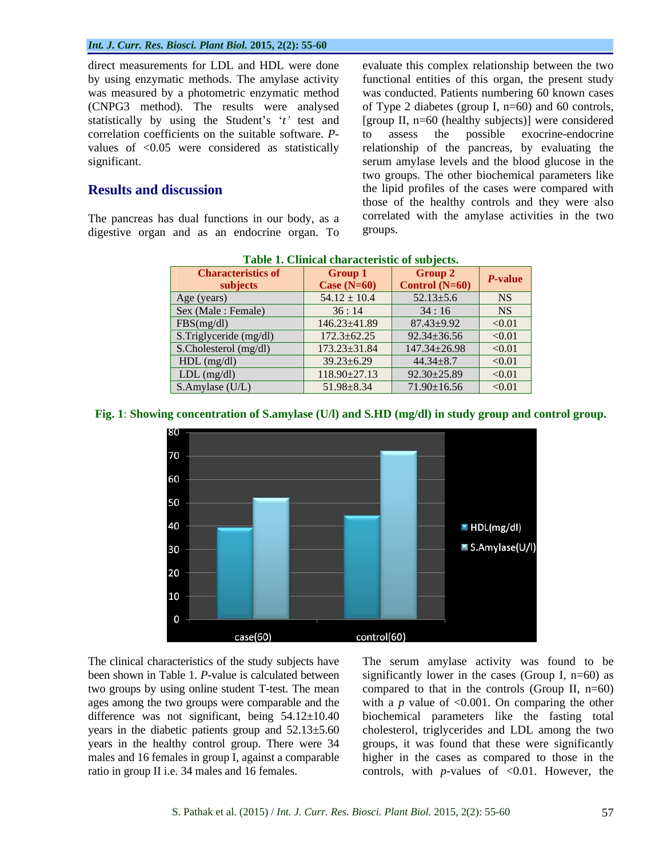direct measurements for LDL and HDL were done evaluate this complex relationship between the two by using enzymatic methods. The amylase activity functional entities of this organ, the present study was measured by a photometric enzymatic method was conducted. Patients numbering 60 known cases (CNPG3 method). The results were analysed of Type 2 diabetes (group I,  $n=60$ ) and 60 controls, statistically by using the Student's 't' test and [group II, n=60 (healthy subjects)] were considered correlation coefficients on the suitable software. *P* values of <0.05 were considered as statistically relationship of the pancreas, by evaluating the

The pancreas has dual functions in our body, as a correlate divestive organ and as an endocrine organ To groups. digestive organ and as an endocrine organ. To

significant. serum amylase levels and the blood glucose in the **Results and discussion** the lipid profiles of the cases were compared with to assess the possible exocrine-endocrine two groups. The other biochemical parameters like those of the healthy controls and they were also correlated with the amylase activities in the two groups.

| <b>Characteristics of</b> | Group 1            | Group 2            | $P$ -value    |
|---------------------------|--------------------|--------------------|---------------|
| subjects                  | Case $(N=60)$      | Control $(N=60)$   |               |
| Age (years)               | $54.12 \pm 10.4$   | $52.13 \pm 5.6$    | NS            |
| Sex (Male : Female)       | 36:14              | 34:16              | NS            |
| FBS(mg/dl)                | 146.23±41.89       | $87.43 \pm 9.92$   | < 0.01        |
| S.Triglyceride (mg/dl)    | $172.3 \pm 62.25$  | $92.34 \pm 36.56$  | < 0.01        |
| S.Cholesterol (mg/dl)     | 173.23±31.84       | $147.34 \pm 26.98$ | < 0.01        |
| $HDL$ (mg/dl)             | $39.23 \pm 6.29$   | $44.34 \pm 8.7$    | < 0.01        |
| LDL (mg/dl)               | $118.90 \pm 27.13$ | $92.30 \pm 25.89$  | $\sqrt{0.01}$ |
| S.Amylase (U/L)           | $51.98 \pm 8.34$   | 71.90±16.56        | < 0.01        |

| <b>Table 1</b><br>1. Clinical characteristic of subjects. |  |  |
|-----------------------------------------------------------|--|--|
|                                                           |  |  |

### **Fig. 1**: **Showing concentration of S.amylase (U/l) and S.HD (mg/dl) in study group and control group.**



ages among the two groups were comparable and the males and 16 females in group I, against a comparable

The clinical characteristics of the study subjects have The serum amylase activity was found to be been shown in Table 1. *P*-value is calculated between significantly lower in the cases (Group I, n=60) as two groups by using online student T-test. The mean compared to that in the controls (Group II, n=60) difference was not significant, being 54.12±10.40 biochemical parameters like the fasting total years in the diabetic patients group and 52.13±5.60 cholesterol, triglycerides and LDL among the two years in the healthy control group. There were 34 groups, it was found that these were significantly ratio in group II i.e. 34 males and 16 females. controls, with *p*-values of <0.01. However, the with a  $p$  value of  $\leq 0.001$ . On comparing the other higher in the cases as compared to those in the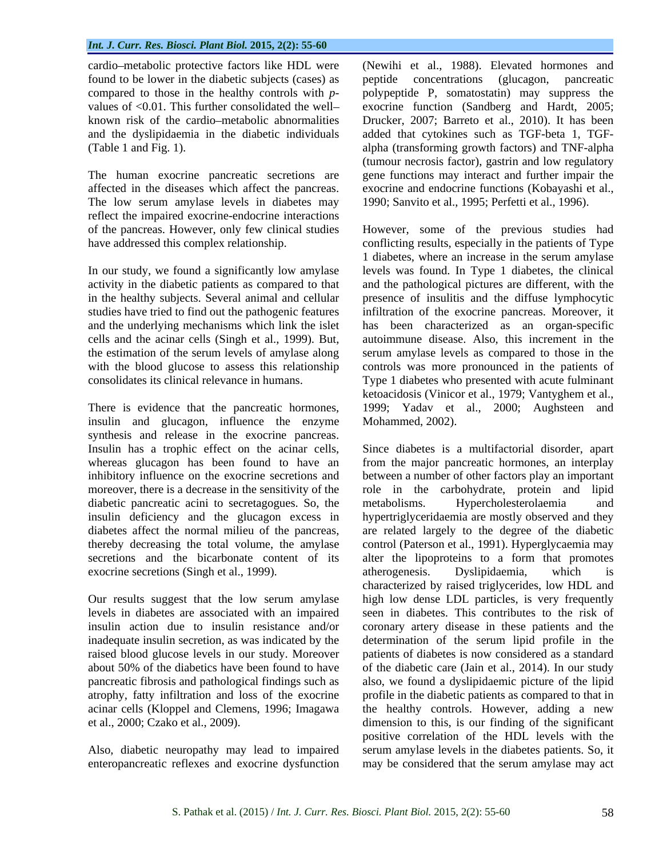found to be lower in the diabetic subjects (cases) as and the dyslipidaemia in the diabetic individuals

The low serum amylase levels in diabetes may reflect the impaired exocrine-endocrine interactions

insulin and glucagon, influence the enzyme synthesis and release in the exocrine pancreas. Insulin has a trophic effect on the acinar cells, diabetic pancreatic acini to secretagogues. So, the metabolisms. Hypercholesterolaemia and exocrine secretions (Singh et al., 1999).

enteropancreatic reflexes and exocrine dysfunction may be considered that the serum amylase may act

cardio metabolic protective factors like HDL were (Newihi et al., 1988). Elevated hormones and compared to those in the healthy controls with *p*- polypeptide P, somatostatin) may suppress the values of <0.01. This further consolidated the well-<br>exocrine function (Sandberg and Hardt, 2005; known risk of the cardio metabolic abnormalities Drucker, 2007; Barreto et al., 2010). It has been (Table 1 and Fig. 1). alpha (transforming growth factors) and TNF-alpha The human exocrine pancreatic secretions are gene functions may interact and further impair the affected in the diseases which affect the pancreas. exocrine and endocrine functions (Kobayashi et al., peptide concentrations (glucagon, pancreatic added that cytokines such as TGF-beta 1, TGF- (tumour necrosis factor), gastrin and low regulatory 1990; Sanvito et al., 1995; Perfetti et al., 1996).

of the pancreas. However, only few clinical studies However, some of the previous studies had have addressed this complex relationship.  $\blacksquare$  conflicting results, especially in the patients of Type In our study, we found a significantly low amylase levels was found. In Type 1 diabetes, the clinical activity in the diabetic patients as compared to that and the pathological pictures are different, with the in the healthy subjects. Several animal and cellular presence of insulitis and the diffuse lymphocytic studies have tried to find out the pathogenic features infiltration of the exocrine pancreas. Moreover, it and the underlying mechanisms which link the islet has been characterized as an organ-specific cells and the acinar cells (Singh et al., 1999). But, autoimmune disease. Also, this increment in the the estimation of the serum levels of amylase along serum amylase levels as compared to those in the with the blood glucose to assess this relationship controls was more pronounced in the patients of consolidates its clinical relevance in humans. Type 1 diabetes who presented with acute fulminant There is evidence that the pancreatic hormones, 1999; Yadav et al., 2000; Aughsteen and 1 diabetes, where an increase in the serum amylase ketoacidosis (Vinicor et al., 1979; Vantyghem et al., Mohammed, 2002).

whereas glucagon has been found to have an from the major pancreatic hormones, an interplay inhibitory influence on the exocrine secretions and between a number of other factors play an important moreover, there is a decrease in the sensitivity of the role in the carbohydrate, protein and lipid insulin deficiency and the glucagon excess in hypertriglyceridaemia are mostly observed and they diabetes affect the normal milieu of the pancreas, arerelated largely to the degree of the diabetic thereby decreasing the total volume, the amylase control (Paterson et al., 1991). Hyperglycaemia may secretions and the bicarbonate content of its alter the lipoproteins to a form that promotes Our results suggest that the low serum amylase high low dense LDL particles, is very frequently levels in diabetes are associated with an impaired seen in diabetes. This contributes to the risk of insulin action due to insulin resistance and/or coronary artery disease in these patients and the inadequate insulin secretion, as was indicated by the determination of the serum lipid profile in the raised blood glucose levels in our study. Moreover patients of diabetes is now considered as a standard about 50% of the diabetics have been found to have of the diabetic care (Jain et al., 2014). In our study pancreatic fibrosis and pathological findings such as also, we found a dyslipidaemic picture of the lipid atrophy, fatty infiltration and loss of the exocrine profile in the diabetic patients as compared to that in acinar cells (Kloppel and Clemens, 1996; Imagawa the healthy controls. However, adding a new et al., 2000; Czako et al., 2009). dimension to this, is our finding of the significant Also, diabetic neuropathy may lead to impaired serum amylase levels in the diabetes patients. So, it Since diabetes is a multifactorial disorder, apart metabolisms. Hypercholesterolaemia and atherogenesis. Dyslipidaemia, which is characterized by raised triglycerides, low HDL and positive correlation of the HDL levels with the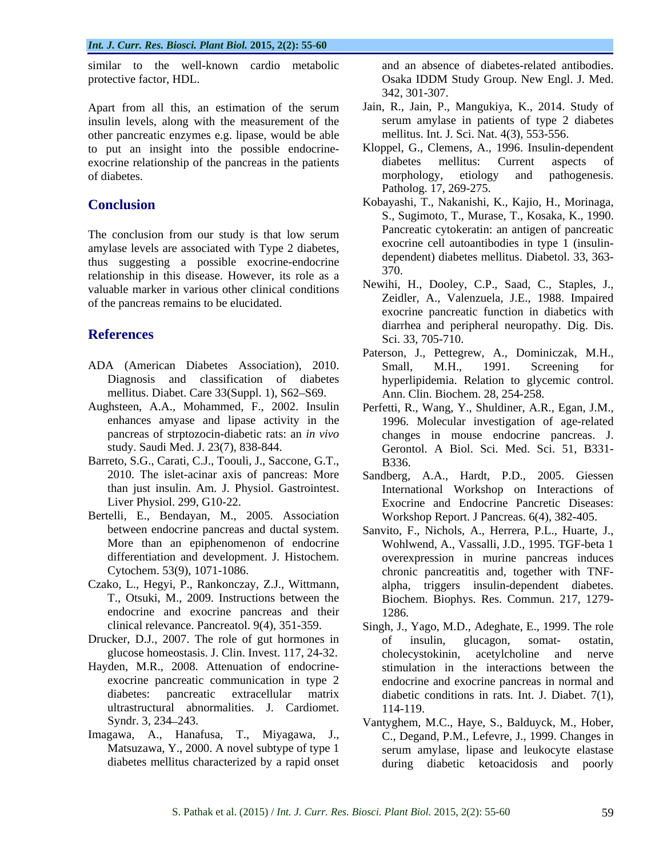similar to the well-known cardio metabolic protective factor, HDL. (and the control of the control of the Casaka IDDM Study Group. New Engl. J. Med.)

Apart from all this, an estimation of the serum insulin levels, along with the measurement of the other pancreatic enzymes e.g. lipase, would be able to put an insight into the possible endocrine-<br>exocrine relationship of the pancreas in the patients diabetes mellitus: Current aspects exocrine relationship of the pancreas in the patients diabetes mellitus: Current aspects of of diabetes.<br>
of diabetes morphology, etiology and pathogenesis.

The conclusion from our study is that low serum amylase levels are associated with Type 2 diabetes, thus suggesting a possible exocrine-endocrine dependent and the state of the state of the state of the state of the state of the state of the state of the state of the state of the state of the state of the state of the st relationship in this disease. However, its role as a valuable marker in various other clinical conditions of the pancreas remains to be elucidated.

- ADA (American Diabetes Association), 2010. mellitus. Diabet. Care 33(Suppl. 1), S62-S69.
- Aughsteen, A.A., Mohammed, F., 2002. Insulin Perfetti, R., Wang, Y., Shuldiner, A.R., Egan, J.M.,
- Barreto, S.G., Carati, C.J., Toouli, J., Saccone, G.T., B336.
- Bertelli, E., Bendayan, M., 2005. Association
- Czako, L., Hegyi, P., Rankonczay, Z.J., Wittmann, endocrine and exocrine pancreas and their 1286.
- 
- ultrastructural abnormalities. J. Cardiomet.
- Imagawa, A., Hanafusa, T., Miyagawa, J.,

and an absence of diabetes-related antibodies. Osaka IDDM Study Group. New Engl. J. Med. 342, 301-307.

- Jain, R., Jain, P., Mangukiya, K., 2014. Study of serum amylase in patients of type 2 diabetes mellitus. Int. J. Sci. Nat. 4(3), 553-556.
- of diabetes. The contract of diabetes. The contract of diabetes and pathogenesis. Kloppel, G., Clemens, A., 1996. Insulin-dependent diabetes mellitus: Current aspects of morphology, etiology and pathogenesis. Patholog. 17, 269-275.
- **Conclusion** Kobayashi, T., Nakanishi, K., Kajio, H., Morinaga, S., Sugimoto, T., Murase, T., Kosaka, K., 1990. Pancreatic cytokeratin: an antigen of pancreatic exocrine cell autoantibodies in type 1 (insulin dependent) diabetes mellitus. Diabetol. 33, 363- 370.
- **References** Sci 33 705-710 Newihi, H., Dooley, C.P., Saad, C., Staples, J., Zeidler, A., Valenzuela, J.E., 1988. Impaired exocrine pancreatic function in diabetics with diarrhea and peripheral neuropathy. Dig. Dis. Sci. 33, 705-710.
	- Diagnosis and classification of diabetes hyperlipidemia. Relation to glycemic control. Paterson, J., Pettegrew, A., Dominiczak, M.H., Small, M.H., 1991. Screening for Ann. Clin. Biochem. 28, 254-258.
	- enhances amyase and lipase activity in the 1996. Molecular investigation of age-related pancreas of strptozocin-diabetic rats: an *in vivo* changes in mouse endocrine pancreas. J. study. Saudi Med. J. 23(7), 838-844. Gerontol. A Biol. Sci. Med. Sci. 51, B331- B336.
	- 2010. The islet-acinar axis of pancreas: More Sandberg, A.A., Hardt, P.D., 2005. Giessen than just insulin. Am. J. Physiol. Gastrointest. International Workshop on Interactions of Liver Physiol. 299, G10-22. Exocrine and Endocrine Pancretic Diseases: Workshop Report. J Pancreas. 6(4), 382-405.
	- between endocrine pancreas and ductal system. Sanvito, F., Nichols, A., Herrera, P.L., Huarte, J., More than an epiphenomenon of endocrine Wohlwend, A., Vassalli, J.D., 1995. TGF-beta 1 differentiation and development. J. Histochem. overexpression in murine pancreas induces Cytochem. 53(9), 1071-1086. chronic pancreatitis and, together with TNF- T., Otsuki, M., 2009. Instructions between the Biochem. Biophys. Res. Commun. 217, 1279 alpha, triggers insulin-dependent diabetes. 1286.
- clinical relevance. Pancreatol. 9(4), 351-359. Singh, J., Yago, M.D., Adeghate, E., 1999. The role Drucker, D.J., 2007. The role of gut hormones in of insulin, glucagon, somat- ostatin, glucose homeostasis. J. Clin. Invest. 117, 24-32. Hayden, M.R., 2008. Attenuation of endocrine- stimulation in the interactions between the exocrine pancreatic communication in type 2 endocrine and exocrine pancreas in normal and diabetes: pancreatic extracellular matrix diabetic conditions in rats. Int. J. Diabet. 7(1), of insulin, glucagon, somat- ostatin, cholecystokinin, acetylcholine 114-119.
	- Syndr. 3, 234 243. Vantyghem, M.C., Haye, S., Balduyck, M., Hober, Matsuzawa, Y., 2000. A novel subtype of type 1 serum amylase, lipase and leukocyte elastase diabetes mellitus characterized by a rapid onset during diabetic ketoacidosis and poorlyC., Degand, P.M., Lefevre, J., 1999. Changes in